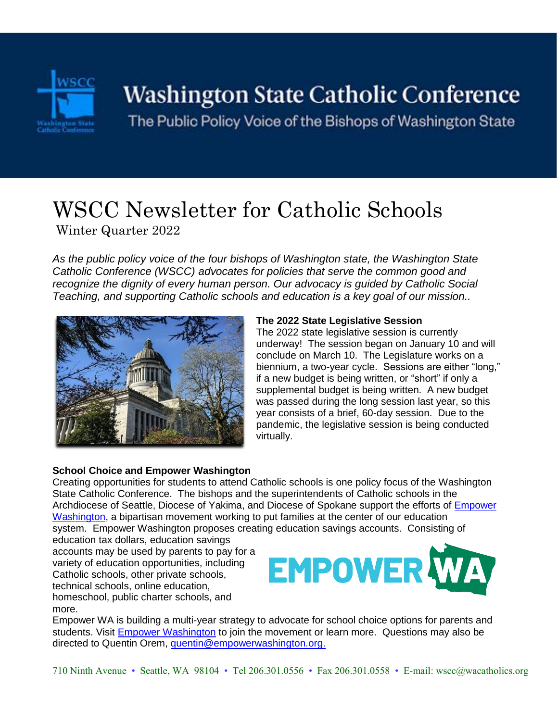

# Washington State Catholic Conference

The Public Policy Voice of the Bishops of Washington State

## WSCC Newsletter for Catholic Schools Winter Quarter 2022

*As the public policy voice of the four bishops of Washington state, the Washington State Catholic Conference (WSCC) advocates for policies that serve the common good and recognize the dignity of every human person. Our advocacy is guided by Catholic Social Teaching, and supporting Catholic schools and education is a key goal of our mission..* 



#### **The 2022 State Legislative Session**

The 2022 state legislative session is currently underway! The session began on January 10 and will conclude on March 10. The Legislature works on a biennium, a two-year cycle. Sessions are either "long," if a new budget is being written, or "short" if only a supplemental budget is being written. A new budget was passed during the long session last year, so this year consists of a brief, 60-day session. Due to the pandemic, the legislative session is being conducted virtually.

#### **School Choice and Empower Washington**

Creating opportunities for students to attend Catholic schools is one policy focus of the Washington State Catholic Conference. The bishops and the superintendents of Catholic schools in the Archdiocese of Seattle, Diocese of Yakima, and Diocese of Spokane support the efforts of [Empower](https://www.empowerwashington.org/)  [Washington,](https://www.empowerwashington.org/) a bipartisan movement working to put families at the center of our education system. Empower Washington proposes creating education savings accounts. Consisting of

education tax dollars, education savings accounts may be used by parents to pay for a variety of education opportunities, including Catholic schools, other private schools,



technical schools, online education, homeschool, public charter schools, and more.

Empower WA is building a multi-year strategy to advocate for school choice options for parents and students. Visit [Empower Washington](https://www.empowerwashington.org/) to join the movement or learn more. Questions may also be directed to Quentin Orem, [quentin@empowerwashington.org.](mailto:quentin@empowerwashington.org.)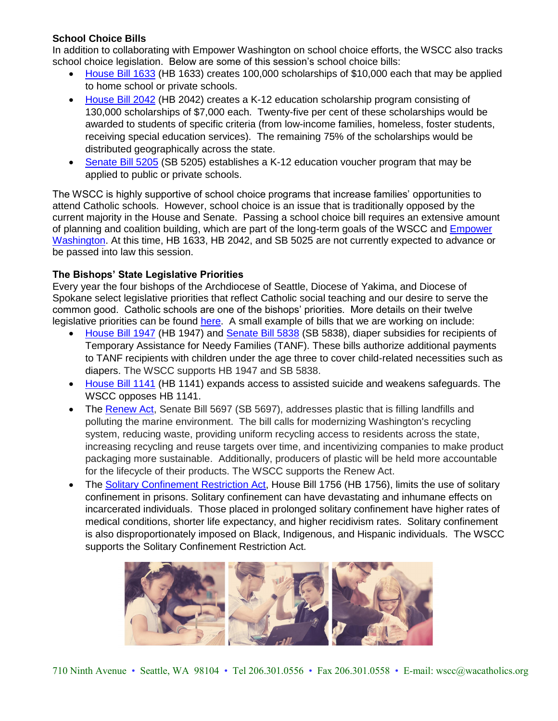#### **School Choice Bills**

In addition to collaborating with Empower Washington on school choice efforts, the WSCC also tracks school choice legislation. Below are some of this session's school choice bills:

- [House Bill 1633](https://app.leg.wa.gov/billsummary?BillNumber=1633&Initiative=false&Year=2021) (HB 1633) creates 100,000 scholarships of \$10,000 each that may be applied to home school or private schools.
- [House Bill 2042](https://app.leg.wa.gov/billsummary?BillNumber=2042&Initiative=false&Year=2021) (HB 2042) creates a K-12 education scholarship program consisting of 130,000 scholarships of \$7,000 each. Twenty-five per cent of these scholarships would be awarded to students of specific criteria (from low-income families, homeless, foster students, receiving special education services). The remaining 75% of the scholarships would be distributed geographically across the state.
- [Senate Bill 5205](https://app.leg.wa.gov/billsummary?BillNumber=5205&Initiative=false&Year=2021) (SB 5205) establishes a K-12 education voucher program that may be applied to public or private schools.

The WSCC is highly supportive of school choice programs that increase families' opportunities to attend Catholic schools. However, school choice is an issue that is traditionally opposed by the current majority in the House and Senate. Passing a school choice bill requires an extensive amount of planning and coalition building, which are part of the long-term goals of the WSCC and [Empower](https://www.empowerwashington.org/)  [Washington.](https://www.empowerwashington.org/) At this time, HB 1633, HB 2042, and SB 5025 are not currently expected to advance or be passed into law this session.

#### **The Bishops' State Legislative Priorities**

Every year the four bishops of the Archdiocese of Seattle, Diocese of Yakima, and Diocese of Spokane select legislative priorities that reflect Catholic social teaching and our desire to serve the common good. Catholic schools are one of the bishops' priorities. More details on their twelve legislative priorities can be found [here.](https://www.wacatholics.org/stay-informed/wscc-2021-legislative-priorities) A small example of bills that we are working on include:

- [House Bill 1947](https://app.leg.wa.gov/billsummary?BillNumber=1947&Initiative=false&Year=2021) (HB 1947) and [Senate Bill 5838](https://app.leg.wa.gov/billsummary?BillNumber=5838&Chamber=Senate&Year=2021) (SB 5838), diaper subsidies for recipients of Temporary Assistance for Needy Families (TANF). These bills authorize additional payments to TANF recipients with children under the age three to cover child-related necessities such as diapers. The WSCC supports HB 1947 and SB 5838.
- [House Bill 1141](https://app.leg.wa.gov/billsummary?BillNumber=1009&Initiative=false&Year=2021) (HB 1141) expands access to assisted suicide and weakens safeguards. The WSCC opposes HB 1141.
- The [Renew Act,](https://app.leg.wa.gov/billsummary?BillNumber=5697&Year=2021&Initiative=false) Senate Bill 5697 (SB 5697), addresses plastic that is filling landfills and polluting the marine environment. The bill calls for modernizing Washington's recycling system, reducing waste, providing uniform recycling access to residents across the state, increasing recycling and reuse targets over time, and incentivizing companies to make product packaging more sustainable. Additionally, producers of plastic will be held more accountable for the lifecycle of their products. The WSCC supports the Renew Act.
- The [Solitary Confinement Restriction Act,](https://app.leg.wa.gov/billsummary?BillNumber=1756&Initiative=false&Year=2021) House Bill 1756 (HB 1756), limits the use of solitary confinement in prisons. Solitary confinement can have devastating and inhumane effects on incarcerated individuals. Those placed in prolonged solitary confinement have higher rates of medical conditions, shorter life expectancy, and higher recidivism rates. Solitary confinement is also disproportionately imposed on Black, Indigenous, and Hispanic individuals. The WSCC supports the Solitary Confinement Restriction Act.